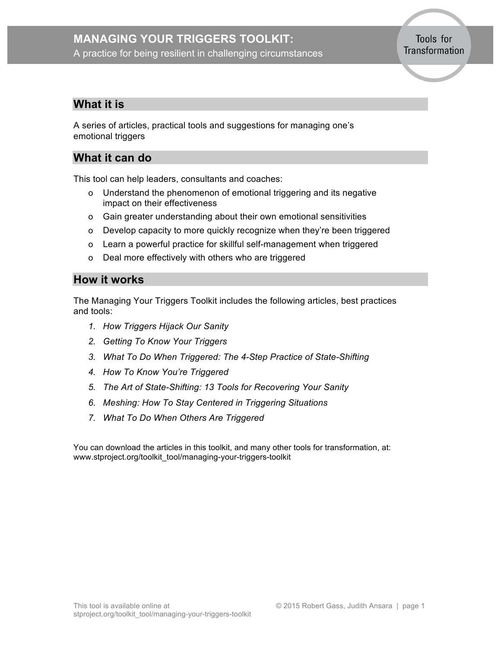# **MANAGING YOUR TRIGGERS TOOLKIT:**

A practice for being resilient in challenging circumstances

Tools for Transformation

# **What it is**

A series of articles, practical tools and suggestions for managing one's emotional triggers

# **What it can do**

This tool can help leaders, consultants and coaches:

- o Understand the phenomenon of emotional triggering and its negative impact on their effectiveness
- o Gain greater understanding about their own emotional sensitivities
- o Develop capacity to more quickly recognize when they're been triggered
- o Learn a powerful practice for skillful self-management when triggered
- o Deal more effectively with others who are triggered

# **How it works**

The Managing Your Triggers Toolkit includes the following articles, best practices and tools:

- *1. [How Triggers Hijack Our Sanity](#page-1-0)*
- *2. [Getting To Know Your Triggers](#page-4-0)*
- *3. [What To Do When Triggered: The 4-Step Practice of State-Shifting](#page-9-0)*
- *4. How To Know [You're Triggered](#page-16-0)*
- *5. The Art of State-Shifting: 13 Tools [for Recovering Your Sanity](#page-18-0)*
- *6. [Meshing: How To Stay Centered in Triggering Situations](#page-22-0)*
- *7. [What To Do When Others Are Triggered](#page-23-0)*

You can download the articles in this toolkit, and many other tools for transformation, at: www.stproject.org/toolkit\_tool/managing-your-triggers-toolkit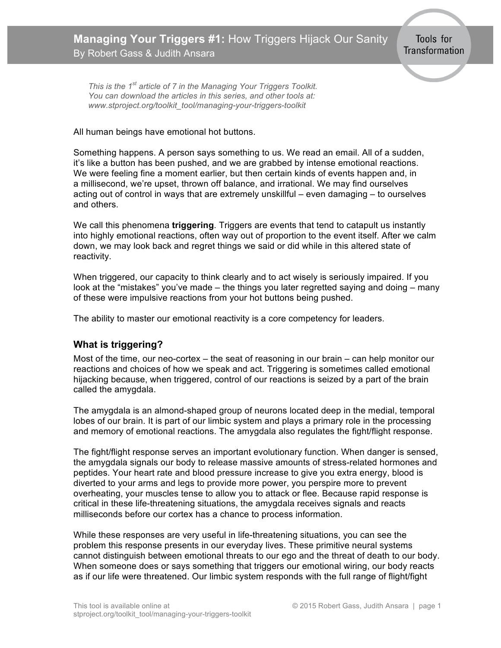<span id="page-1-0"></span>*This is the 1st article of 7 in the Managing Your Triggers Toolkit. You can download the articles in this series, and other tools at: www.stproject.org/toolkit\_tool/managing-your-triggers-toolkit*

#### All human beings have emotional hot buttons.

Something happens. A person says something to us. We read an email. All of a sudden, it's like a button has been pushed, and we are grabbed by intense emotional reactions. We were feeling fine a moment earlier, but then certain kinds of events happen and, in a millisecond, we're upset, thrown off balance, and irrational. We may find ourselves acting out of control in ways that are extremely unskillful – even damaging – to ourselves and others.

We call this phenomena **triggering***.* Triggers are events that tend to catapult us instantly into highly emotional reactions, often way out of proportion to the event itself. After we calm down, we may look back and regret things we said or did while in this altered state of reactivity.

When triggered, our capacity to think clearly and to act wisely is seriously impaired. If you look at the "mistakes" you've made – the things you later regretted saying and doing – many of these were impulsive reactions from your hot buttons being pushed.

The ability to master our emotional reactivity is a core competency for leaders.

### **What is triggering?**

Most of the time, our neo-cortex – the seat of reasoning in our brain – can help monitor our reactions and choices of how we speak and act. Triggering is sometimes called emotional hijacking because, when triggered, control of our reactions is seized by a part of the brain called the amygdala.

The amygdala is an almond-shaped group of neurons located deep in the medial, temporal lobes of our brain. It is part of our limbic system and plays a primary role in the processing and memory of emotional reactions. The amygdala also regulates the fight/flight response.

The fight/flight response serves an important evolutionary function. When danger is sensed, the amygdala signals our body to release massive amounts of stress-related hormones and peptides. Your heart rate and blood pressure increase to give you extra energy, blood is diverted to your arms and legs to provide more power, you perspire more to prevent overheating, your muscles tense to allow you to attack or flee. Because rapid response is critical in these life-threatening situations, the amygdala receives signals and reacts milliseconds before our cortex has a chance to process information.

While these responses are very useful in life-threatening situations, you can see the problem this response presents in our everyday lives. These primitive neural systems cannot distinguish between emotional threats to our ego and the threat of death to our body. When someone does or says something that triggers our emotional wiring, our body reacts as if our life were threatened. Our limbic system responds with the full range of flight/fight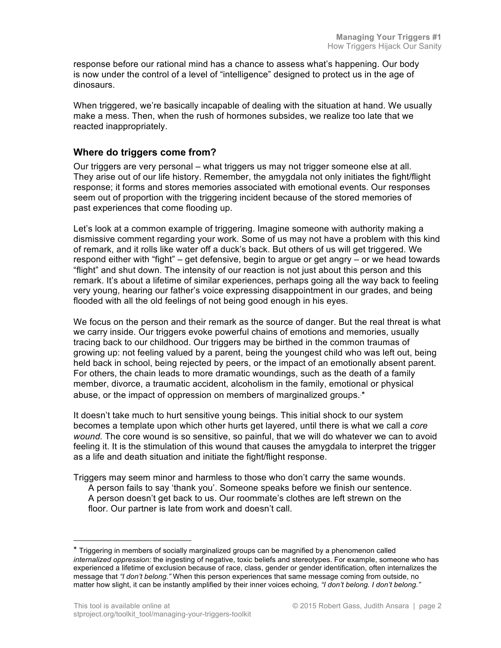response before our rational mind has a chance to assess what's happening. Our body is now under the control of a level of "intelligence" designed to protect us in the age of dinosaurs.

When triggered, we're basically incapable of dealing with the situation at hand. We usually make a mess. Then, when the rush of hormones subsides, we realize too late that we reacted inappropriately.

### **Where do triggers come from?**

Our triggers are very personal – what triggers us may not trigger someone else at all. They arise out of our life history. Remember, the amygdala not only initiates the fight/flight response; it forms and stores memories associated with emotional events. Our responses seem out of proportion with the triggering incident because of the stored memories of past experiences that come flooding up.

Let's look at a common example of triggering. Imagine someone with authority making a dismissive comment regarding your work. Some of us may not have a problem with this kind of remark, and it rolls like water off a duck's back. But others of us will get triggered. We respond either with "fight" – get defensive, begin to argue or get angry – or we head towards "flight" and shut down. The intensity of our reaction is not just about this person and this remark. It's about a lifetime of similar experiences, perhaps going all the way back to feeling very young, hearing our father's voice expressing disappointment in our grades, and being flooded with all the old feelings of not being good enough in his eyes.

We focus on the person and their remark as the source of danger. But the real threat is what we carry inside. Our triggers evoke powerful chains of emotions and memories, usually tracing back to our childhood. Our triggers may be birthed in the common traumas of growing up: not feeling valued by a parent, being the youngest child who was left out, being held back in school, being rejected by peers, or the impact of an emotionally absent parent. For others, the chain leads to more dramatic woundings, such as the death of a family member, divorce, a traumatic accident, alcoholism in the family, emotional or physical abuse, or the impact of oppression on members of marginalized groups.<sup>∗</sup> \*

It doesn't take much to hurt sensitive young beings. This initial shock to our system becomes a template upon which other hurts get layered, until there is what we call a *core wound.* The core wound is so sensitive, so painful, that we will do whatever we can to avoid feeling it. It is the stimulation of this wound that causes the amygdala to interpret the trigger as a life and death situation and initiate the fight/flight response.

Triggers may seem minor and harmless to those who don't carry the same wounds. A person fails to say 'thank you'. Someone speaks before we finish our sentence. A person doesn't get back to us. Our roommate's clothes are left strewn on the floor. Our partner is late from work and doesn't call.

<sup>\*</sup> Triggering in members of socially marginalized groups can be magnified by a phenomenon called *internalized oppression:* the ingesting of negative, toxic beliefs and stereotypes. For example, someone who has experienced a lifetime of exclusion because of race, class, gender or gender identification, often internalizes the message that *"I don't belong."* When this person experiences that same message coming from outside, no matter how slight, it can be instantly amplified by their inner voices echoing*, "I don't belong. I don't belong."*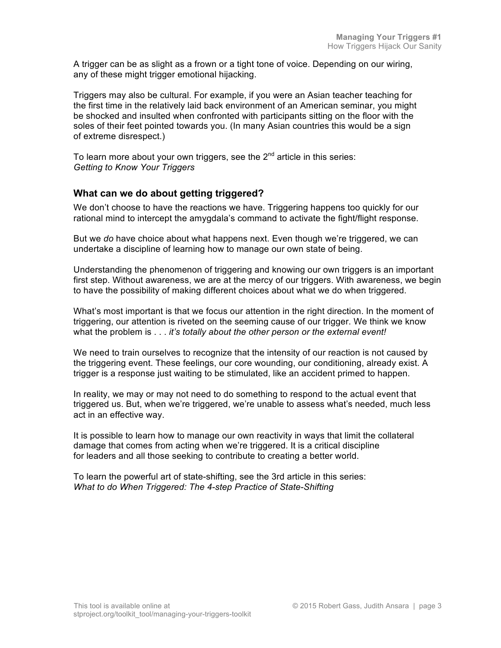A trigger can be as slight as a frown or a tight tone of voice. Depending on our wiring, any of these might trigger emotional hijacking.

Triggers may also be cultural. For example, if you were an Asian teacher teaching for the first time in the relatively laid back environment of an American seminar, you might be shocked and insulted when confronted with participants sitting on the floor with the soles of their feet pointed towards you. (In many Asian countries this would be a sign of extreme disrespect.)

To learn more about your own triggers, see the  $2^{nd}$  article in this series: *Getting to Know Your Triggers*

### **What can we do about getting triggered?**

We don't choose to have the reactions we have. Triggering happens too quickly for our rational mind to intercept the amygdala's command to activate the fight/flight response.

But we *do* have choice about what happens next. Even though we're triggered, we can undertake a discipline of learning how to manage our own state of being.

Understanding the phenomenon of triggering and knowing our own triggers is an important first step. Without awareness, we are at the mercy of our triggers. With awareness, we begin to have the possibility of making different choices about what we do when triggered.

What's most important is that we focus our attention in the right direction. In the moment of triggering, our attention is riveted on the seeming cause of our trigger. We think we know what the problem is . . . *it's totally about the other person or the external event!*

We need to train ourselves to recognize that the intensity of our reaction is not caused by the triggering event. These feelings, our core wounding, our conditioning, already exist. A trigger is a response just waiting to be stimulated, like an accident primed to happen.

In reality, we may or may not need to do something to respond to the actual event that triggered us. But, when we're triggered, we're unable to assess what's needed, much less act in an effective way.

It is possible to learn how to manage our own reactivity in ways that limit the collateral damage that comes from acting when we're triggered. It is a critical discipline for leaders and all those seeking to contribute to creating a better world.

To learn the powerful art of state-shifting, see the 3rd article in this series: *What to do When Triggered: The 4-step Practice of State-Shifting*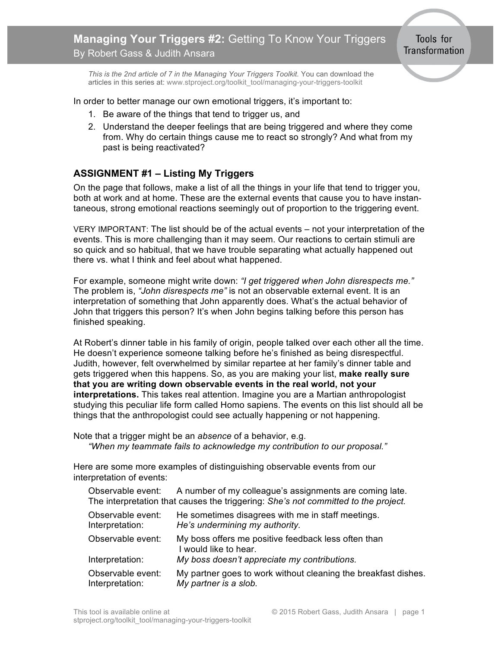<span id="page-4-0"></span>*This is the 2nd article of 7 in the Managing Your Triggers Toolkit.* You can download the articles in this series at: www.stproject.org/toolkit\_tool/managing-your-triggers-toolkit

In order to better manage our own emotional triggers, it's important to:

- 1. Be aware of the things that tend to trigger us, and
- 2. Understand the deeper feelings that are being triggered and where they come from. Why do certain things cause me to react so strongly? And what from my past is being reactivated?

# **ASSIGNMENT #1 – Listing My Triggers**

On the page that follows, make a list of all the things in your life that tend to trigger you, both at work and at home. These are the external events that cause you to have instantaneous, strong emotional reactions seemingly out of proportion to the triggering event.

VERY IMPORTANT: The list should be of the actual events – not your interpretation of the events. This is more challenging than it may seem. Our reactions to certain stimuli are so quick and so habitual, that we have trouble separating what actually happened out there vs. what I think and feel about what happened.

For example, someone might write down: *"I get triggered when John disrespects me."* The problem is, *"John disrespects me"* is not an observable external event. It is an interpretation of something that John apparently does. What's the actual behavior of John that triggers this person? It's when John begins talking before this person has finished speaking.

At Robert's dinner table in his family of origin, people talked over each other all the time. He doesn't experience someone talking before he's finished as being disrespectful. Judith, however, felt overwhelmed by similar repartee at her family's dinner table and gets triggered when this happens. So, as you are making your list, **make really sure that you are writing down observable events in the real world, not your interpretations.** This takes real attention. Imagine you are a Martian anthropologist studying this peculiar life form called Homo sapiens. The events on this list should all be things that the anthropologist could see actually happening or not happening.

Note that a trigger might be an *absence* of a behavior, e.g. *"When my teammate fails to acknowledge my contribution to our proposal."*

Here are some more examples of distinguishing observable events from our interpretation of events:

Observable event: A number of my colleague's assignments are coming late. The interpretation that causes the triggering: *She's not committed to the project.*

| Observable event: | He sometimes disagrees with me in staff meetings.                            |
|-------------------|------------------------------------------------------------------------------|
| Interpretation:   | He's undermining my authority.                                               |
| Observable event: | My boss offers me positive feedback less often than<br>I would like to hear. |
| Interpretation:   | My boss doesn't appreciate my contributions.                                 |
| Observable event: | My partner goes to work without cleaning the breakfast dishes.               |
| Interpretation:   | My partner is a slob.                                                        |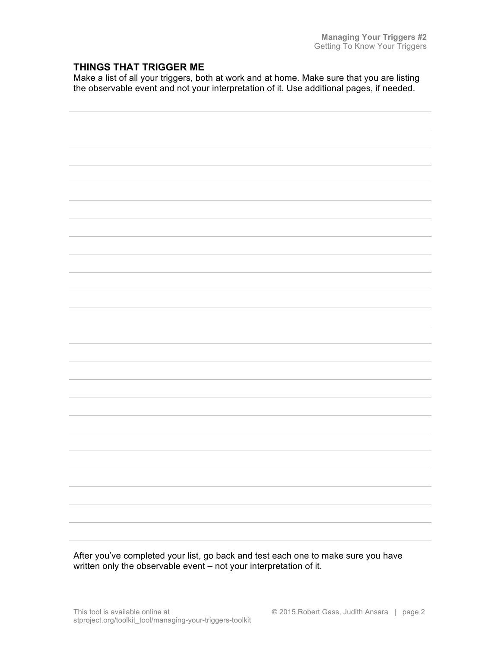### **THINGS THAT TRIGGER ME**

Make a list of all your triggers, both at work and at home. Make sure that you are listing the observable event and not your interpretation of it. Use additional pages, if needed.



After you've completed your list, go back and test each one to make sure you have written only the observable event – not your interpretation of it.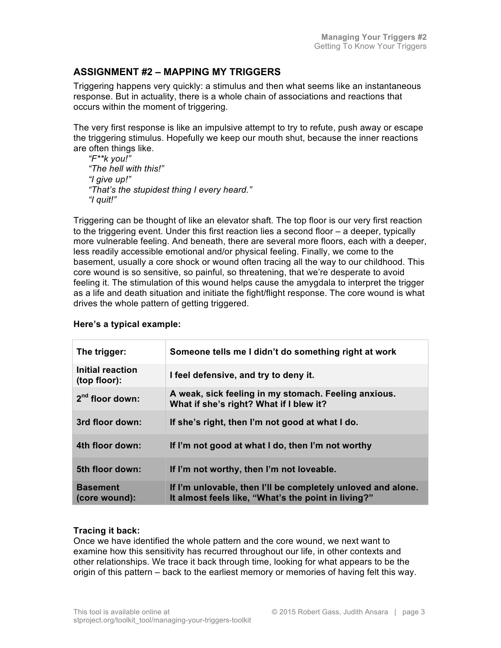# **ASSIGNMENT #2 – MAPPING MY TRIGGERS**

Triggering happens very quickly: a stimulus and then what seems like an instantaneous response. But in actuality, there is a whole chain of associations and reactions that occurs within the moment of triggering.

The very first response is like an impulsive attempt to try to refute, push away or escape the triggering stimulus. Hopefully we keep our mouth shut, because the inner reactions are often things like.

*"F\*\*k you!" "The hell with this!" "I give up!" "That's the stupidest thing I every heard." "I quit!"*

Triggering can be thought of like an elevator shaft. The top floor is our very first reaction to the triggering event. Under this first reaction lies a second floor – a deeper, typically more vulnerable feeling. And beneath, there are several more floors, each with a deeper, less readily accessible emotional and/or physical feeling. Finally, we come to the basement, usually a core shock or wound often tracing all the way to our childhood. This core wound is so sensitive, so painful, so threatening, that we're desperate to avoid feeling it. The stimulation of this wound helps cause the amygdala to interpret the trigger as a life and death situation and initiate the fight/flight response. The core wound is what drives the whole pattern of getting triggered.

| The trigger:                     | Someone tells me I didn't do something right at work                                                                |
|----------------------------------|---------------------------------------------------------------------------------------------------------------------|
| Initial reaction<br>(top floor): | I feel defensive, and try to deny it.                                                                               |
| $2nd$ floor down:                | A weak, sick feeling in my stomach. Feeling anxious.<br>What if she's right? What if I blew it?                     |
| 3rd floor down:                  | If she's right, then I'm not good at what I do.                                                                     |
| 4th floor down:                  | If I'm not good at what I do, then I'm not worthy                                                                   |
| 5th floor down:                  | If I'm not worthy, then I'm not loveable.                                                                           |
| <b>Basement</b><br>(core wound): | If I'm unlovable, then I'll be completely unloved and alone.<br>It almost feels like, "What's the point in living?" |

### **Here's a typical example:**

#### **Tracing it back:**

Once we have identified the whole pattern and the core wound, we next want to examine how this sensitivity has recurred throughout our life, in other contexts and other relationships. We trace it back through time, looking for what appears to be the origin of this pattern – back to the earliest memory or memories of having felt this way.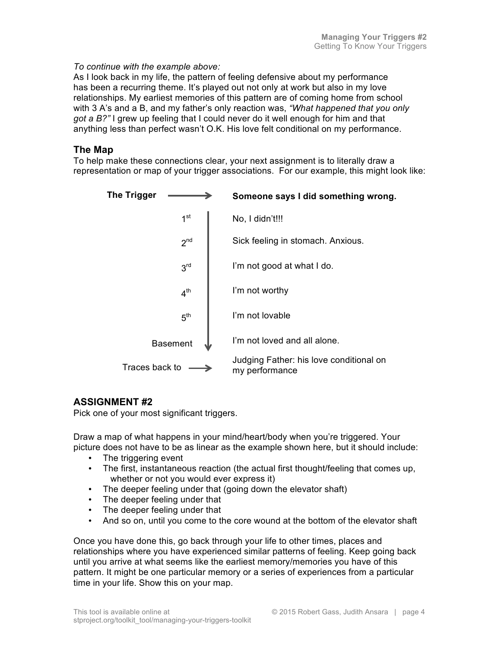*To continue with the example above:*

As I look back in my life, the pattern of feeling defensive about my performance has been a recurring theme. It's played out not only at work but also in my love relationships. My earliest memories of this pattern are of coming home from school with 3 A's and a B, and my father's only reaction was, *"What happened that you only got a B?"* I grew up feeling that I could never do it well enough for him and that anything less than perfect wasn't O.K. His love felt conditional on my performance.

### **The Map**

To help make these connections clear, your next assignment is to literally draw a representation or map of your trigger associations. For our example, this might look like:



# **ASSIGNMENT #2**

Pick one of your most significant triggers.

Draw a map of what happens in your mind/heart/body when you're triggered. Your picture does not have to be as linear as the example shown here, but it should include:

- The triggering event
- The first, instantaneous reaction (the actual first thought/feeling that comes up, whether or not you would ever express it)
- The deeper feeling under that (going down the elevator shaft)
- The deeper feeling under that
- The deeper feeling under that
- And so on, until you come to the core wound at the bottom of the elevator shaft

Once you have done this, go back through your life to other times, places and relationships where you have experienced similar patterns of feeling. Keep going back until you arrive at what seems like the earliest memory/memories you have of this pattern. It might be one particular memory or a series of experiences from a particular time in your life. Show this on your map.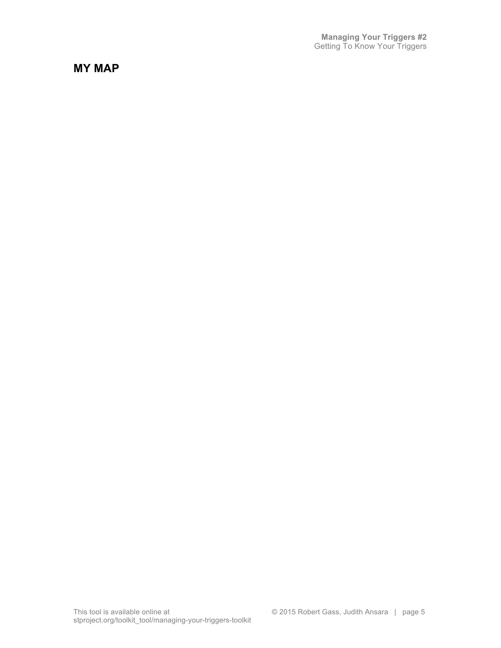**Managing Your Triggers #2** Getting To Know Your Triggers

**MY MAP**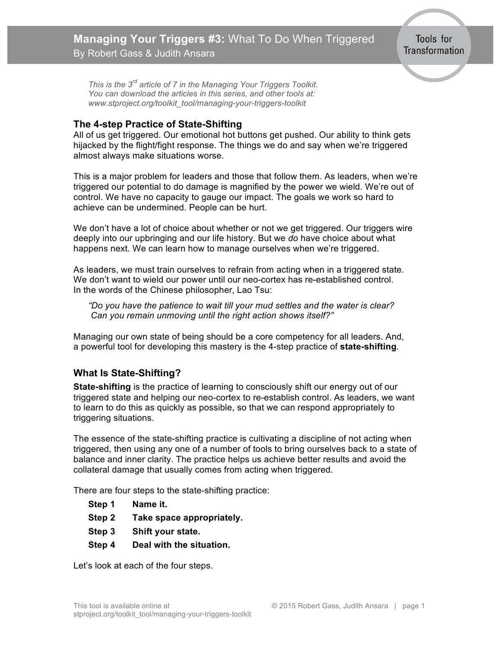<span id="page-9-0"></span>*This is the 3rd article of 7 in the Managing Your Triggers Toolkit. You can download the articles in this series, and other tools at: www.stproject.org/toolkit\_tool/managing-your-triggers-toolkit*

### **The 4-step Practice of State-Shifting**

All of us get triggered. Our emotional hot buttons get pushed. Our ability to think gets hijacked by the flight/fight response. The things we do and say when we're triggered almost always make situations worse.

This is a major problem for leaders and those that follow them. As leaders, when we're triggered our potential to do damage is magnified by the power we wield. We're out of control. We have no capacity to gauge our impact. The goals we work so hard to achieve can be undermined. People can be hurt.

We don't have a lot of choice about whether or not we get triggered. Our triggers wire deeply into our upbringing and our life history. But we *do* have choice about what happens next. We can learn how to manage ourselves when we're triggered.

As leaders, we must train ourselves to refrain from acting when in a triggered state. We don't want to wield our power until our neo-cortex has re-established control. In the words of the Chinese philosopher, Lao Tsu:

*"Do you have the patience to wait till your mud settles and the water is clear? Can you remain unmoving until the right action shows itself?"*

Managing our own state of being should be a core competency for all leaders. And, a powerful tool for developing this mastery is the 4-step practice of **state-shifting***.*

# **What Is State-Shifting?**

**State-shifting** is the practice of learning to consciously shift our energy out of our triggered state and helping our neo-cortex to re-establish control. As leaders, we want to learn to do this as quickly as possible, so that we can respond appropriately to triggering situations.

The essence of the state-shifting practice is cultivating a discipline of not acting when triggered, then using any one of a number of tools to bring ourselves back to a state of balance and inner clarity. The practice helps us achieve better results and avoid the collateral damage that usually comes from acting when triggered.

There are four steps to the state-shifting practice:

- **Step 1 Name it.**
- **Step 2 Take space appropriately.**
- **Step 3 Shift your state.**
- **Step 4 Deal with the situation.**

Let's look at each of the four steps.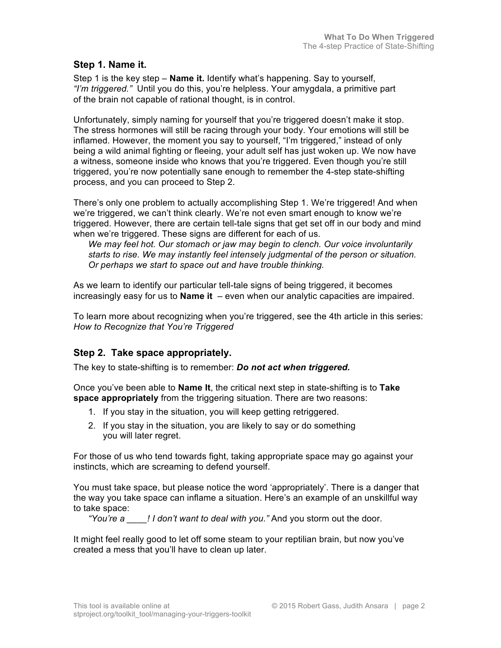### **Step 1. Name it.**

Step 1 is the key step – **Name it.** Identify what's happening. Say to yourself, *"I'm triggered."* Until you do this, you're helpless. Your amygdala, a primitive part of the brain not capable of rational thought, is in control.

Unfortunately, simply naming for yourself that you're triggered doesn't make it stop. The stress hormones will still be racing through your body. Your emotions will still be inflamed. However, the moment you say to yourself, "I'm triggered," instead of only being a wild animal fighting or fleeing, your adult self has just woken up. We now have a witness, someone inside who knows that you're triggered. Even though you're still triggered, you're now potentially sane enough to remember the 4-step state-shifting process, and you can proceed to Step 2.

There's only one problem to actually accomplishing Step 1. We're triggered! And when we're triggered, we can't think clearly. We're not even smart enough to know we're triggered. However, there are certain tell-tale signs that get set off in our body and mind when we're triggered. These signs are different for each of us.

*We may feel hot. Our stomach or jaw may begin to clench. Our voice involuntarily starts to rise. We may instantly feel intensely judgmental of the person or situation. Or perhaps we start to space out and have trouble thinking.*

As we learn to identify our particular tell-tale signs of being triggered, it becomes increasingly easy for us to **Name it** – even when our analytic capacities are impaired.

To learn more about recognizing when you're triggered, see the 4th article in this series: *How to Recognize that You're Triggered*

### **Step 2. Take space appropriately.**

The key to state-shifting is to remember: *Do not act when triggered.*

Once you've been able to **Name It**, the critical next step in state-shifting is to **Take space appropriately** from the triggering situation. There are two reasons:

- 1. If you stay in the situation, you will keep getting retriggered.
- 2. If you stay in the situation, you are likely to say or do something you will later regret.

For those of us who tend towards fight, taking appropriate space may go against your instincts, which are screaming to defend yourself.

You must take space, but please notice the word 'appropriately'. There is a danger that the way you take space can inflame a situation. Here's an example of an unskillful way to take space:

*"You're a \_\_\_\_! I don't want to deal with you."* And you storm out the door.

It might feel really good to let off some steam to your reptilian brain, but now you've created a mess that you'll have to clean up later.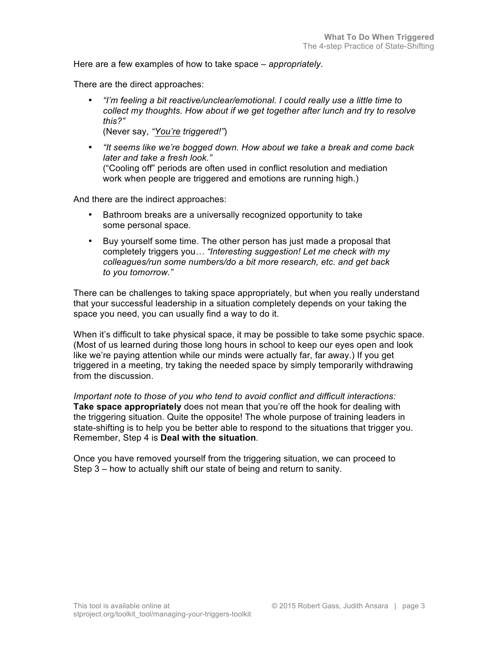Here are a few examples of how to take space – *appropriately*.

There are the direct approaches:

- *"I'm feeling a bit reactive/unclear/emotional. I could really use a little time to collect my thoughts. How about if we get together after lunch and try to resolve this?"* (Never say, *"You're triggered!"*)
- *"It seems like we're bogged down. How about we take a break and come back later and take a fresh look."* ("Cooling off" periods are often used in conflict resolution and mediation work when people are triggered and emotions are running high.)

And there are the indirect approaches:

- Bathroom breaks are a universally recognized opportunity to take some personal space.
- Buy yourself some time. The other person has just made a proposal that completely triggers you*… "Interesting suggestion! Let me check with my colleagues/run some numbers/do a bit more research, etc. and get back to you tomorrow."*

There can be challenges to taking space appropriately, but when you really understand that your successful leadership in a situation completely depends on your taking the space you need, you can usually find a way to do it.

When it's difficult to take physical space, it may be possible to take some psychic space. (Most of us learned during those long hours in school to keep our eyes open and look like we're paying attention while our minds were actually far, far away.) If you get triggered in a meeting, try taking the needed space by simply temporarily withdrawing from the discussion.

*Important note to those of you who tend to avoid conflict and difficult interactions:* **Take space appropriately** does not mean that you're off the hook for dealing with the triggering situation. Quite the opposite! The whole purpose of training leaders in state-shifting is to help you be better able to respond to the situations that trigger you. Remember, Step 4 is **Deal with the situation***.*

Once you have removed yourself from the triggering situation, we can proceed to Step 3 – how to actually shift our state of being and return to sanity.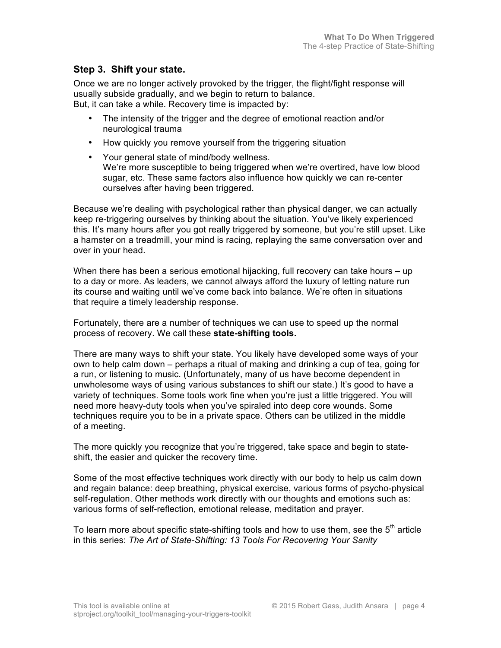### **Step 3. Shift your state.**

Once we are no longer actively provoked by the trigger, the flight/fight response will usually subside gradually, and we begin to return to balance. But, it can take a while. Recovery time is impacted by:

- The intensity of the trigger and the degree of emotional reaction and/or neurological trauma
- How quickly you remove yourself from the triggering situation
- Your general state of mind/body wellness. We're more susceptible to being triggered when we're overtired, have low blood sugar, etc. These same factors also influence how quickly we can re-center ourselves after having been triggered.

Because we're dealing with psychological rather than physical danger, we can actually keep re-triggering ourselves by thinking about the situation. You've likely experienced this. It's many hours after you got really triggered by someone, but you're still upset. Like a hamster on a treadmill, your mind is racing, replaying the same conversation over and over in your head.

When there has been a serious emotional hijacking, full recovery can take hours – up to a day or more. As leaders, we cannot always afford the luxury of letting nature run its course and waiting until we've come back into balance. We're often in situations that require a timely leadership response.

Fortunately, there are a number of techniques we can use to speed up the normal process of recovery. We call these **state-shifting tools.**

There are many ways to shift your state. You likely have developed some ways of your own to help calm down – perhaps a ritual of making and drinking a cup of tea, going for a run, or listening to music. (Unfortunately, many of us have become dependent in unwholesome ways of using various substances to shift our state.) It's good to have a variety of techniques. Some tools work fine when you're just a little triggered. You will need more heavy-duty tools when you've spiraled into deep core wounds. Some techniques require you to be in a private space. Others can be utilized in the middle of a meeting.

The more quickly you recognize that you're triggered, take space and begin to stateshift, the easier and quicker the recovery time.

Some of the most effective techniques work directly with our body to help us calm down and regain balance: deep breathing, physical exercise, various forms of psycho-physical self-regulation. Other methods work directly with our thoughts and emotions such as: various forms of self-reflection, emotional release, meditation and prayer.

To learn more about specific state-shifting tools and how to use them, see the  $5<sup>tn</sup>$  article in this series: *The Art of State-Shifting: 13 Tools For Recovering Your Sanity*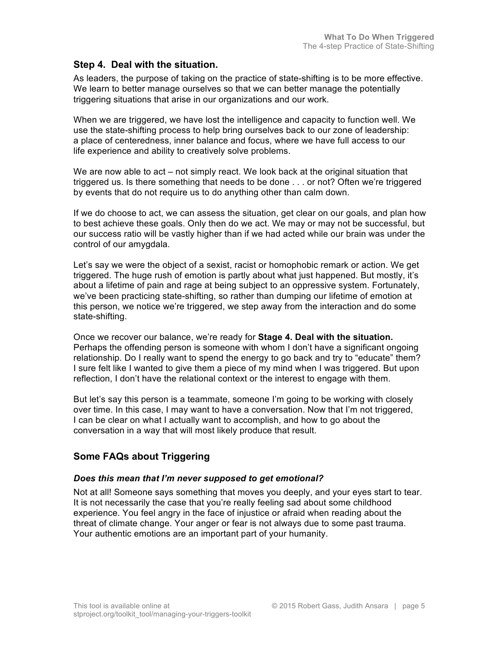### **Step 4. Deal with the situation.**

As leaders, the purpose of taking on the practice of state-shifting is to be more effective. We learn to better manage ourselves so that we can better manage the potentially triggering situations that arise in our organizations and our work.

When we are triggered, we have lost the intelligence and capacity to function well. We use the state-shifting process to help bring ourselves back to our zone of leadership: a place of centeredness, inner balance and focus, where we have full access to our life experience and ability to creatively solve problems.

We are now able to act – not simply react. We look back at the original situation that triggered us. Is there something that needs to be done . . . or not? Often we're triggered by events that do not require us to do anything other than calm down.

If we do choose to act, we can assess the situation, get clear on our goals, and plan how to best achieve these goals. Only then do we act. We may or may not be successful, but our success ratio will be vastly higher than if we had acted while our brain was under the control of our amygdala.

Let's say we were the object of a sexist, racist or homophobic remark or action. We get triggered. The huge rush of emotion is partly about what just happened. But mostly, it's about a lifetime of pain and rage at being subject to an oppressive system. Fortunately, we've been practicing state-shifting, so rather than dumping our lifetime of emotion at this person, we notice we're triggered, we step away from the interaction and do some state-shifting.

Once we recover our balance, we're ready for **Stage 4. Deal with the situation.** Perhaps the offending person is someone with whom I don't have a significant ongoing relationship. Do I really want to spend the energy to go back and try to "educate" them? I sure felt like I wanted to give them a piece of my mind when I was triggered. But upon reflection, I don't have the relational context or the interest to engage with them.

But let's say this person is a teammate, someone I'm going to be working with closely over time. In this case, I may want to have a conversation. Now that I'm not triggered, I can be clear on what I actually want to accomplish, and how to go about the conversation in a way that will most likely produce that result.

# **Some FAQs about Triggering**

#### *Does this mean that I'm never supposed to get emotional?*

Not at all! Someone says something that moves you deeply, and your eyes start to tear. It is not necessarily the case that you're really feeling sad about some childhood experience. You feel angry in the face of injustice or afraid when reading about the threat of climate change. Your anger or fear is not always due to some past trauma. Your authentic emotions are an important part of your humanity.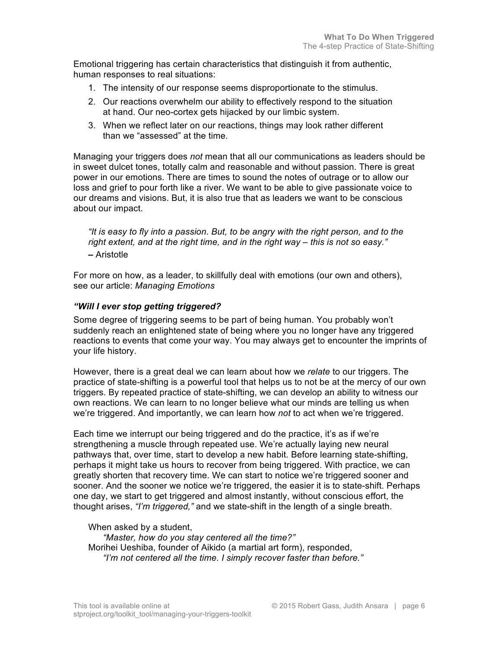Emotional triggering has certain characteristics that distinguish it from authentic, human responses to real situations:

- 1. The intensity of our response seems disproportionate to the stimulus.
- 2. Our reactions overwhelm our ability to effectively respond to the situation at hand. Our neo-cortex gets hijacked by our limbic system.
- 3. When we reflect later on our reactions, things may look rather different than we "assessed" at the time.

Managing your triggers does *not* mean that all our communications as leaders should be in sweet dulcet tones, totally calm and reasonable and without passion. There is great power in our emotions. There are times to sound the notes of outrage or to allow our loss and grief to pour forth like a river. We want to be able to give passionate voice to our dreams and visions. But, it is also true that as leaders we want to be conscious about our impact.

*"It is easy to fly into a passion. But, to be angry with the right person, and to the right extent, and at the right time, and in the right way – this is not so easy."* **–** Aristotle

For more on how, as a leader, to skillfully deal with emotions (our own and others), see our article: *Managing Emotions*

### *"Will I ever stop getting triggered?*

Some degree of triggering seems to be part of being human. You probably won't suddenly reach an enlightened state of being where you no longer have any triggered reactions to events that come your way. You may always get to encounter the imprints of your life history.

However, there is a great deal we can learn about how we *relate* to our triggers. The practice of state-shifting is a powerful tool that helps us to not be at the mercy of our own triggers. By repeated practice of state-shifting, we can develop an ability to witness our own reactions. We can learn to no longer believe what our minds are telling us when we're triggered. And importantly, we can learn how *not* to act when we're triggered.

Each time we interrupt our being triggered and do the practice, it's as if we're strengthening a muscle through repeated use. We're actually laying new neural pathways that, over time, start to develop a new habit. Before learning state-shifting, perhaps it might take us hours to recover from being triggered. With practice, we can greatly shorten that recovery time. We can start to notice we're triggered sooner and sooner. And the sooner we notice we're triggered, the easier it is to state-shift. Perhaps one day, we start to get triggered and almost instantly, without conscious effort, the thought arises, *"I'm triggered,"* and we state-shift in the length of a single breath.

When asked by a student,

*"Master, how do you stay centered all the time?"*  Morihei Ueshiba, founder of Aikido (a martial art form), responded, *"I'm not centered all the time. I simply recover faster than before."*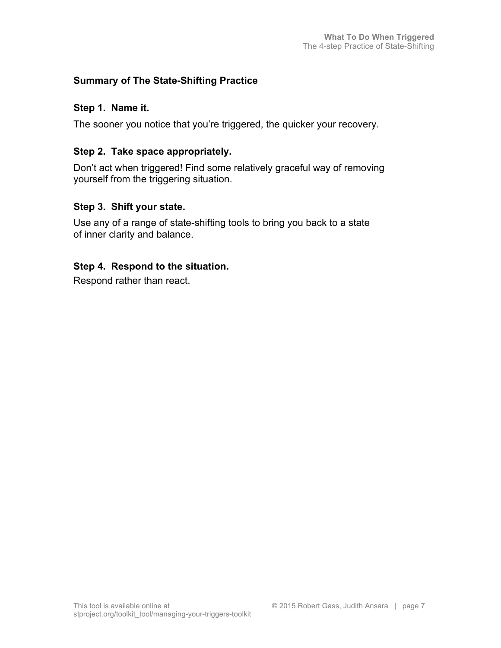# **Summary of The State-Shifting Practice**

### **Step 1. Name it.**

The sooner you notice that you're triggered, the quicker your recovery.

# **Step 2. Take space appropriately.**

Don't act when triggered! Find some relatively graceful way of removing yourself from the triggering situation.

# **Step 3. Shift your state.**

Use any of a range of state-shifting tools to bring you back to a state of inner clarity and balance.

# **Step 4. Respond to the situation.**

Respond rather than react.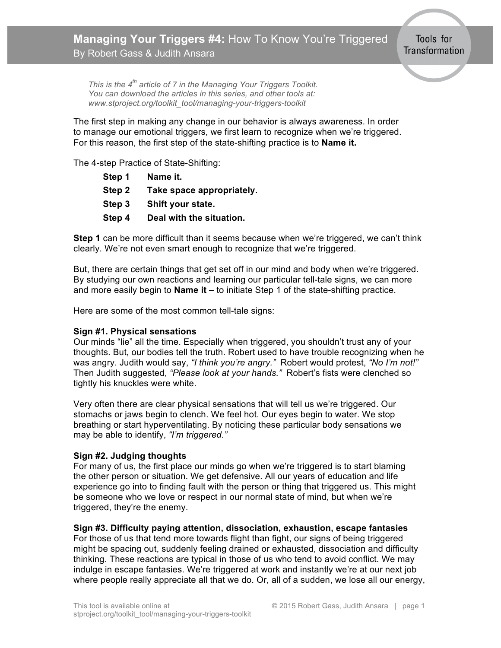<span id="page-16-0"></span>*This is the 4th article of 7 in the Managing Your Triggers Toolkit. You can download the articles in this series, and other tools at: www.stproject.org/toolkit\_tool/managing-your-triggers-toolkit*

The first step in making any change in our behavior is always awareness. In order to manage our emotional triggers, we first learn to recognize when we're triggered. For this reason, the first step of the state-shifting practice is to **Name it.**

The 4-step Practice of State-Shifting:

| Step 1 | Name it.                  |
|--------|---------------------------|
| Step 2 | Take space appropriately. |
| Step 3 | Shift your state.         |
| Step 4 | Deal with the situation.  |

**Step 1** can be more difficult than it seems because when we're triggered, we can't think clearly. We're not even smart enough to recognize that we're triggered.

But, there are certain things that get set off in our mind and body when we're triggered. By studying our own reactions and learning our particular tell-tale signs, we can more and more easily begin to **Name it** – to initiate Step 1 of the state-shifting practice.

Here are some of the most common tell-tale signs:

#### **Sign #1. Physical sensations**

Our minds "lie" all the time. Especially when triggered, you shouldn't trust any of your thoughts. But, our bodies tell the truth. Robert used to have trouble recognizing when he was angry. Judith would say, *"I think you're angry."* Robert would protest, *"No I'm not!"* Then Judith suggested, *"Please look at your hands."* Robert's fists were clenched so tightly his knuckles were white.

Very often there are clear physical sensations that will tell us we're triggered. Our stomachs or jaws begin to clench. We feel hot. Our eyes begin to water. We stop breathing or start hyperventilating. By noticing these particular body sensations we may be able to identify, *"I'm triggered."*

#### **Sign #2. Judging thoughts**

For many of us, the first place our minds go when we're triggered is to start blaming the other person or situation. We get defensive. All our years of education and life experience go into to finding fault with the person or thing that triggered us. This might be someone who we love or respect in our normal state of mind, but when we're triggered, they're the enemy.

**Sign #3. Difficulty paying attention, dissociation, exhaustion, escape fantasies**

For those of us that tend more towards flight than fight, our signs of being triggered might be spacing out, suddenly feeling drained or exhausted, dissociation and difficulty thinking. These reactions are typical in those of us who tend to avoid conflict. We may indulge in escape fantasies. We're triggered at work and instantly we're at our next job where people really appreciate all that we do. Or, all of a sudden, we lose all our energy,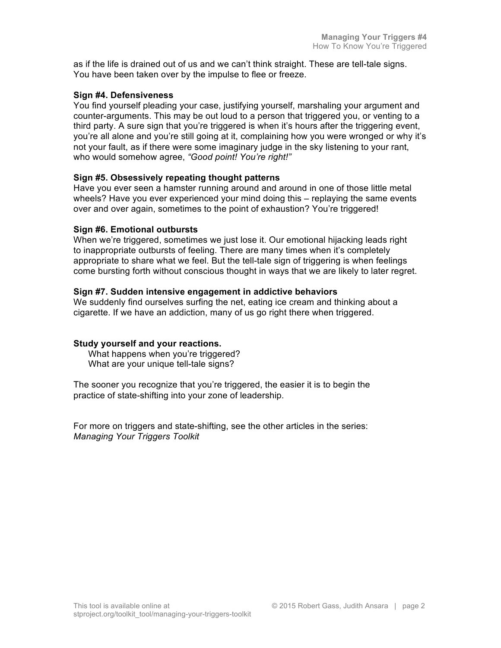as if the life is drained out of us and we can't think straight. These are tell-tale signs. You have been taken over by the impulse to flee or freeze.

#### **Sign #4. Defensiveness**

You find yourself pleading your case, justifying yourself, marshaling your argument and counter-arguments. This may be out loud to a person that triggered you, or venting to a third party. A sure sign that you're triggered is when it's hours after the triggering event, you're all alone and you're still going at it, complaining how you were wronged or why it's not your fault, as if there were some imaginary judge in the sky listening to your rant, who would somehow agree, *"Good point! You're right!"*

#### **Sign #5. Obsessively repeating thought patterns**

Have you ever seen a hamster running around and around in one of those little metal wheels? Have you ever experienced your mind doing this – replaying the same events over and over again, sometimes to the point of exhaustion? You're triggered!

#### **Sign #6. Emotional outbursts**

When we're triggered, sometimes we just lose it. Our emotional hijacking leads right to inappropriate outbursts of feeling. There are many times when it's completely appropriate to share what we feel. But the tell-tale sign of triggering is when feelings come bursting forth without conscious thought in ways that we are likely to later regret.

#### **Sign #7. Sudden intensive engagement in addictive behaviors**

We suddenly find ourselves surfing the net, eating ice cream and thinking about a cigarette. If we have an addiction, many of us go right there when triggered.

#### **Study yourself and your reactions.**

What happens when you're triggered? What are your unique tell-tale signs?

The sooner you recognize that you're triggered, the easier it is to begin the practice of state-shifting into your zone of leadership.

For more on triggers and state-shifting, see the other articles in the series: *Managing Your Triggers Toolkit*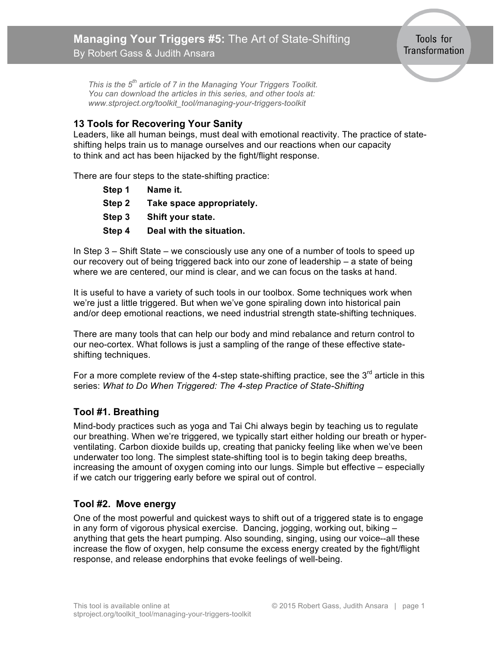*This is the 5th article of 7 in the Managing Your Triggers Toolkit. You can download the articles in this series, and other tools at: www.stproject.org/toolkit\_tool/managing-your-triggers-toolkit*

# **13 Tools for Recovering Your Sanity**

<span id="page-18-0"></span>By Robert Gass & Judith Ansara

Leaders, like all human beings, must deal with emotional reactivity. The practice of stateshifting helps train us to manage ourselves and our reactions when our capacity to think and act has been hijacked by the fight/flight response.

There are four steps to the state-shifting practice:

| Step 1 | Name it.                  |
|--------|---------------------------|
| Step 2 | Take space appropriately. |
| Step 3 | Shift your state.         |
| Step 4 | Deal with the situation.  |

In Step 3 – Shift State – we consciously use any one of a number of tools to speed up our recovery out of being triggered back into our zone of leadership – a state of being where we are centered, our mind is clear, and we can focus on the tasks at hand.

It is useful to have a variety of such tools in our toolbox. Some techniques work when we're just a little triggered. But when we've gone spiraling down into historical pain and/or deep emotional reactions, we need industrial strength state-shifting techniques.

There are many tools that can help our body and mind rebalance and return control to our neo-cortex. What follows is just a sampling of the range of these effective stateshifting techniques.

For a more complete review of the 4-step state-shifting practice, see the  $3<sup>rd</sup>$  article in this series: *What to Do When Triggered: The 4-step Practice of State-Shifting*

# **Tool #1. Breathing**

Mind-body practices such as yoga and Tai Chi always begin by teaching us to regulate our breathing. When we're triggered, we typically start either holding our breath or hyperventilating. Carbon dioxide builds up, creating that panicky feeling like when we've been underwater too long. The simplest state-shifting tool is to begin taking deep breaths, increasing the amount of oxygen coming into our lungs. Simple but effective – especially if we catch our triggering early before we spiral out of control.

# **Tool #2. Move energy**

One of the most powerful and quickest ways to shift out of a triggered state is to engage in any form of vigorous physical exercise. Dancing, jogging, working out, biking – anything that gets the heart pumping. Also sounding, singing, using our voice--all these increase the flow of oxygen, help consume the excess energy created by the fight/flight response, and release endorphins that evoke feelings of well-being.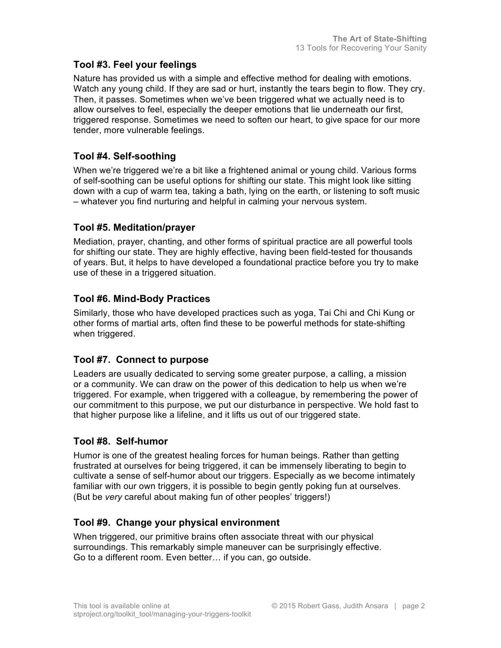# **Tool #3. Feel your feelings**

Nature has provided us with a simple and effective method for dealing with emotions. Watch any young child. If they are sad or hurt, instantly the tears begin to flow. They cry. Then, it passes. Sometimes when we've been triggered what we actually need is to allow ourselves to feel, especially the deeper emotions that lie underneath our first, triggered response. Sometimes we need to soften our heart, to give space for our more tender, more vulnerable feelings.

# **Tool #4. Self-soothing**

When we're triggered we're a bit like a frightened animal or young child. Various forms of self-soothing can be useful options for shifting our state. This might look like sitting down with a cup of warm tea, taking a bath, lying on the earth, or listening to soft music – whatever you find nurturing and helpful in calming your nervous system.

# **Tool #5. Meditation/prayer**

Mediation, prayer, chanting, and other forms of spiritual practice are all powerful tools for shifting our state. They are highly effective, having been field-tested for thousands of years. But, it helps to have developed a foundational practice before you try to make use of these in a triggered situation.

# **Tool #6. Mind-Body Practices**

Similarly, those who have developed practices such as yoga, Tai Chi and Chi Kung or other forms of martial arts, often find these to be powerful methods for state-shifting when triggered.

# **Tool #7. Connect to purpose**

Leaders are usually dedicated to serving some greater purpose, a calling, a mission or a community. We can draw on the power of this dedication to help us when we're triggered. For example, when triggered with a colleague, by remembering the power of our commitment to this purpose, we put our disturbance in perspective. We hold fast to that higher purpose like a lifeline, and it lifts us out of our triggered state.

### **Tool #8. Self-humor**

Humor is one of the greatest healing forces for human beings. Rather than getting frustrated at ourselves for being triggered, it can be immensely liberating to begin to cultivate a sense of self-humor about our triggers. Especially as we become intimately familiar with our own triggers, it is possible to begin gently poking fun at ourselves. (But be *very* careful about making fun of other peoples' triggers!)

# **Tool #9. Change your physical environment**

When triggered, our primitive brains often associate threat with our physical surroundings. This remarkably simple maneuver can be surprisingly effective. Go to a different room. Even better… if you can, go outside.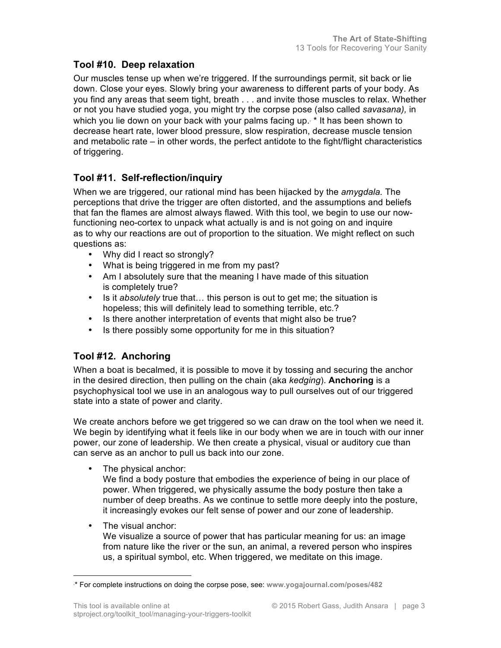# **Tool #10. Deep relaxation**

Our muscles tense up when we're triggered. If the surroundings permit, sit back or lie down. Close your eyes. Slowly bring your awareness to different parts of your body. As you find any areas that seem tight, breath . . . and invite those muscles to relax. Whether or not you have studied yoga, you might try the corpse pose (also called *savasana),* in which you lie down on your back with your palms facing up. \* It has been shown to decrease heart rate, lower blood pressure, slow respiration, decrease muscle tension and metabolic rate – in other words, the perfect antidote to the fight/flight characteristics of triggering.

# **Tool #11. Self-reflection/inquiry**

When we are triggered, our rational mind has been hijacked by the *amygdala.* The perceptions that drive the trigger are often distorted, and the assumptions and beliefs that fan the flames are almost always flawed. With this tool, we begin to use our nowfunctioning neo-cortex to unpack what actually is and is not going on and inquire as to why our reactions are out of proportion to the situation. We might reflect on such questions as:

- Why did I react so strongly?
- What is being triggered in me from my past?
- Am I absolutely sure that the meaning I have made of this situation is completely true?
- Is it *absolutely* true that… this person is out to get me; the situation is hopeless; this will definitely lead to something terrible, etc.?
- Is there another interpretation of events that might also be true?
- Is there possibly some opportunity for me in this situation?

# **Tool #12. Anchoring**

When a boat is becalmed, it is possible to move it by tossing and securing the anchor in the desired direction, then pulling on the chain (aka *kedging*). **Anchoring** is a psychophysical tool we use in an analogous way to pull ourselves out of our triggered state into a state of power and clarity.

We create anchors before we get triggered so we can draw on the tool when we need it. We begin by identifying what it feels like in our body when we are in touch with our inner power, our zone of leadership. We then create a physical, visual or auditory cue than can serve as an anchor to pull us back into our zone.

• The physical anchor:

We find a body posture that embodies the experience of being in our place of power. When triggered, we physically assume the body posture then take a number of deep breaths. As we continue to settle more deeply into the posture, it increasingly evokes our felt sense of power and our zone of leadership.

• The visual anchor:

We visualize a source of power that has particular meaning for us: an image from nature like the river or the sun, an animal, a revered person who inspires us, a spiritual symbol, etc. When triggered, we meditate on this image.

<sup>∗</sup> \* For complete instructions on doing the corpse pose, see: **www.yogajournal.com/poses/482**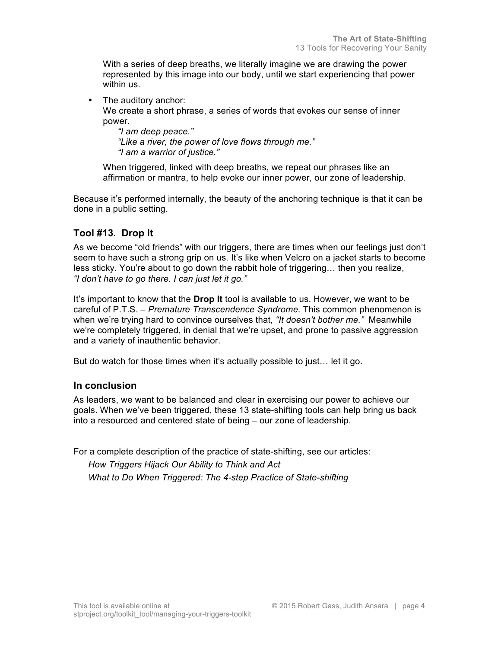With a series of deep breaths, we literally imagine we are drawing the power represented by this image into our body, until we start experiencing that power within us.

• The auditory anchor:

We create a short phrase, a series of words that evokes our sense of inner power.

*"I am deep peace." "Like a river, the power of love flows through me." "I am a warrior of justice."*

When triggered, linked with deep breaths, we repeat our phrases like an affirmation or mantra, to help evoke our inner power, our zone of leadership.

Because it's performed internally, the beauty of the anchoring technique is that it can be done in a public setting.

# **Tool #13. Drop It**

As we become "old friends" with our triggers, there are times when our feelings just don't seem to have such a strong grip on us. It's like when Velcro on a jacket starts to become less sticky. You're about to go down the rabbit hole of triggering… then you realize, *"I don't have to go there. I can just let it go."*

It's important to know that the **Drop It** tool is available to us. However, we want to be careful of P.T.S. – *Premature Transcendence Syndrome.* This common phenomenon is when we're trying hard to convince ourselves that*, "It doesn't bother me."* Meanwhile we're completely triggered, in denial that we're upset, and prone to passive aggression and a variety of inauthentic behavior.

But do watch for those times when it's actually possible to just… let it go.

### **In conclusion**

As leaders, we want to be balanced and clear in exercising our power to achieve our goals. When we've been triggered, these 13 state-shifting tools can help bring us back into a resourced and centered state of being – our zone of leadership.

For a complete description of the practice of state-shifting, see our articles:

*How Triggers Hijack Our Ability to Think and Act What to Do When Triggered: The 4-step Practice of State-shifting*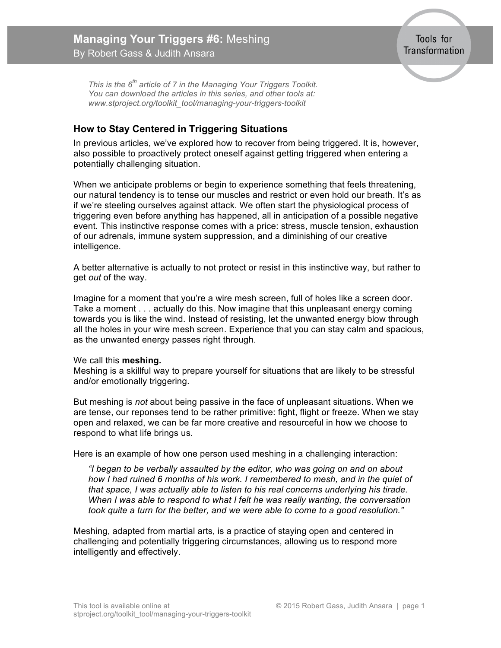<span id="page-22-0"></span>*This is the 6th article of 7 in the Managing Your Triggers Toolkit. You can download the articles in this series, and other tools at: www.stproject.org/toolkit\_tool/managing-your-triggers-toolkit*

# **How to Stay Centered in Triggering Situations**

In previous articles, we've explored how to recover from being triggered. It is, however, also possible to proactively protect oneself against getting triggered when entering a potentially challenging situation.

When we anticipate problems or begin to experience something that feels threatening, our natural tendency is to tense our muscles and restrict or even hold our breath. It's as if we're steeling ourselves against attack. We often start the physiological process of triggering even before anything has happened, all in anticipation of a possible negative event. This instinctive response comes with a price: stress, muscle tension, exhaustion of our adrenals, immune system suppression, and a diminishing of our creative intelligence.

A better alternative is actually to not protect or resist in this instinctive way, but rather to get *out* of the way.

Imagine for a moment that you're a wire mesh screen, full of holes like a screen door. Take a moment . . . actually do this. Now imagine that this unpleasant energy coming towards you is like the wind. Instead of resisting, let the unwanted energy blow through all the holes in your wire mesh screen. Experience that you can stay calm and spacious, as the unwanted energy passes right through.

#### We call this **meshing***.*

Meshing is a skillful way to prepare yourself for situations that are likely to be stressful and/or emotionally triggering.

But meshing is *not* about being passive in the face of unpleasant situations. When we are tense, our reponses tend to be rather primitive: fight, flight or freeze. When we stay open and relaxed, we can be far more creative and resourceful in how we choose to respond to what life brings us.

Here is an example of how one person used meshing in a challenging interaction:

*"I began to be verbally assaulted by the editor, who was going on and on about how I had ruined 6 months of his work. I remembered to mesh, and in the quiet of that space, I was actually able to listen to his real concerns underlying his tirade. When I was able to respond to what I felt he was really wanting, the conversation took quite a turn for the better, and we were able to come to a good resolution."*

Meshing, adapted from martial arts, is a practice of staying open and centered in challenging and potentially triggering circumstances, allowing us to respond more intelligently and effectively.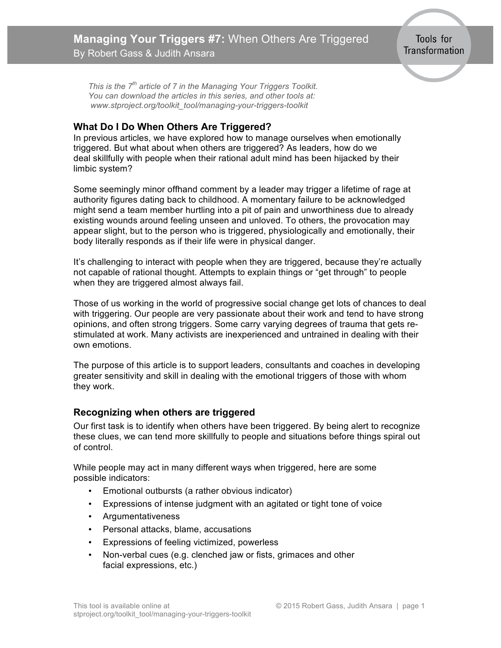<span id="page-23-0"></span>*This is the 7th article of 7 in the Managing Your Triggers Toolkit. You can download the articles in this series, and other tools at: www.stproject.org/toolkit\_tool/managing-your-triggers-toolkit*

### **What Do I Do When Others Are Triggered?**

In previous articles, we have explored how to manage ourselves when emotionally triggered. But what about when others are triggered? As leaders, how do we deal skillfully with people when their rational adult mind has been hijacked by their limbic system?

Some seemingly minor offhand comment by a leader may trigger a lifetime of rage at authority figures dating back to childhood. A momentary failure to be acknowledged might send a team member hurtling into a pit of pain and unworthiness due to already existing wounds around feeling unseen and unloved. To others, the provocation may appear slight, but to the person who is triggered, physiologically and emotionally, their body literally responds as if their life were in physical danger.

It's challenging to interact with people when they are triggered, because they're actually not capable of rational thought. Attempts to explain things or "get through" to people when they are triggered almost always fail.

Those of us working in the world of progressive social change get lots of chances to deal with triggering. Our people are very passionate about their work and tend to have strong opinions, and often strong triggers. Some carry varying degrees of trauma that gets restimulated at work. Many activists are inexperienced and untrained in dealing with their own emotions.

The purpose of this article is to support leaders, consultants and coaches in developing greater sensitivity and skill in dealing with the emotional triggers of those with whom they work.

### **Recognizing when others are triggered**

Our first task is to identify when others have been triggered. By being alert to recognize these clues, we can tend more skillfully to people and situations before things spiral out of control.

While people may act in many different ways when triggered, here are some possible indicators:

- Emotional outbursts (a rather obvious indicator)
- Expressions of intense judgment with an agitated or tight tone of voice
- Argumentativeness
- Personal attacks, blame, accusations
- Expressions of feeling victimized, powerless
- Non-verbal cues (e.g. clenched jaw or fists, grimaces and other facial expressions, etc.)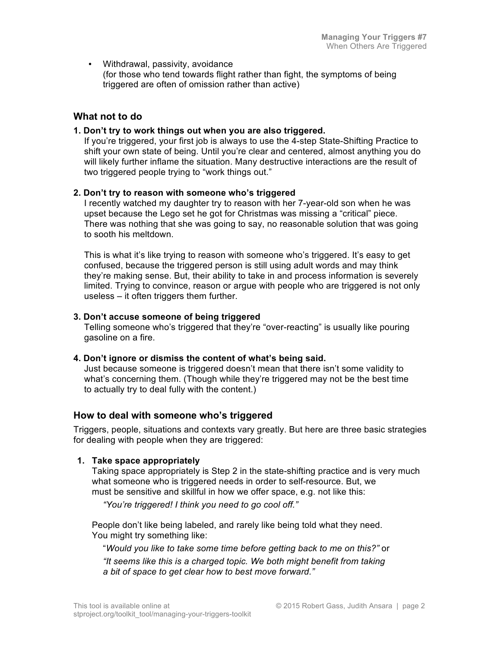• Withdrawal, passivity, avoidance (for those who tend towards flight rather than fight, the symptoms of being triggered are often of omission rather than active)

### **What not to do**

#### **1. Don't try to work things out when you are also triggered.**

If you're triggered, your first job is always to use the 4-step State-Shifting Practice to shift your own state of being. Until you're clear and centered, almost anything you do will likely further inflame the situation. Many destructive interactions are the result of two triggered people trying to "work things out."

#### **2. Don't try to reason with someone who's triggered**

I recently watched my daughter try to reason with her 7-year-old son when he was upset because the Lego set he got for Christmas was missing a "critical" piece. There was nothing that she was going to say, no reasonable solution that was going to sooth his meltdown.

This is what it's like trying to reason with someone who's triggered. It's easy to get confused, because the triggered person is still using adult words and may think they're making sense. But, their ability to take in and process information is severely limited. Trying to convince, reason or argue with people who are triggered is not only useless – it often triggers them further.

#### **3. Don't accuse someone of being triggered**

Telling someone who's triggered that they're "over-reacting" is usually like pouring gasoline on a fire.

#### **4. Don't ignore or dismiss the content of what's being said.**

Just because someone is triggered doesn't mean that there isn't some validity to what's concerning them. (Though while they're triggered may not be the best time to actually try to deal fully with the content.)

### **How to deal with someone who's triggered**

Triggers, people, situations and contexts vary greatly. But here are three basic strategies for dealing with people when they are triggered:

#### **1. Take space appropriately**

Taking space appropriately is Step 2 in the state-shifting practice and is very much what someone who is triggered needs in order to self-resource. But, we must be sensitive and skillful in how we offer space, e.g. not like this:

*"You're triggered! I think you need to go cool off."*

People don't like being labeled, and rarely like being told what they need. You might try something like:

"*Would you like to take some time before getting back to me on this?"* or *"It seems like this is a charged topic. We both might benefit from taking a bit of space to get clear how to best move forward."*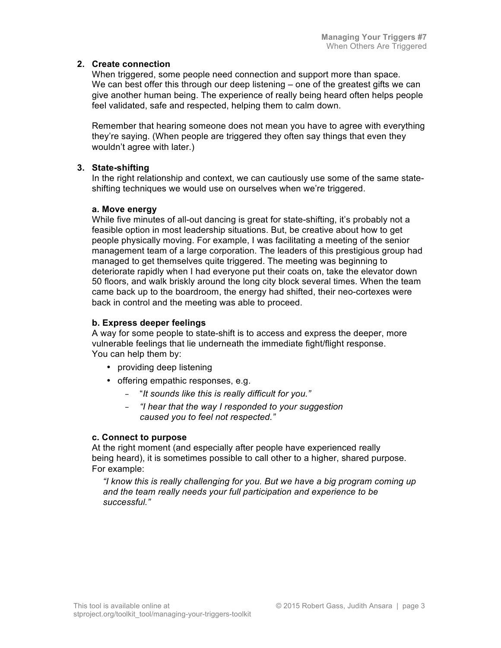#### **2. Create connection**

When triggered, some people need connection and support more than space. We can best offer this through our deep listening – one of the greatest gifts we can give another human being. The experience of really being heard often helps people feel validated, safe and respected, helping them to calm down.

Remember that hearing someone does not mean you have to agree with everything they're saying. (When people are triggered they often say things that even they wouldn't agree with later.)

### **3. State-shifting**

In the right relationship and context, we can cautiously use some of the same stateshifting techniques we would use on ourselves when we're triggered.

#### **a. Move energy**

While five minutes of all-out dancing is great for state-shifting, it's probably not a feasible option in most leadership situations. But, be creative about how to get people physically moving. For example, I was facilitating a meeting of the senior management team of a large corporation. The leaders of this prestigious group had managed to get themselves quite triggered. The meeting was beginning to deteriorate rapidly when I had everyone put their coats on, take the elevator down 50 floors, and walk briskly around the long city block several times. When the team came back up to the boardroom, the energy had shifted, their neo-cortexes were back in control and the meeting was able to proceed.

#### **b. Express deeper feelings**

A way for some people to state-shift is to access and express the deeper, more vulnerable feelings that lie underneath the immediate fight/flight response. You can help them by:

- providing deep listening
- offering empathic responses, e.g.
	- "*It sounds like this is really difficult for you."*
	- *"I hear that the way I responded to your suggestion caused you to feel not respected."*

#### **c. Connect to purpose**

At the right moment (and especially after people have experienced really being heard), it is sometimes possible to call other to a higher, shared purpose. For example:

*"I know this is really challenging for you. But we have a big program coming up and the team really needs your full participation and experience to be successful."*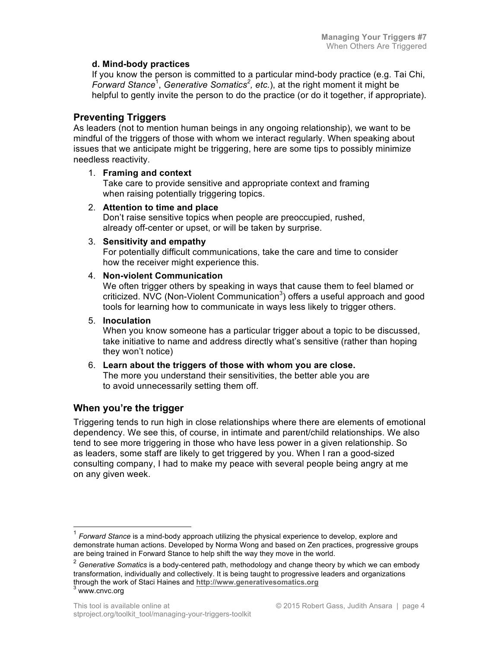#### **d. Mind-body practices**

If you know the person is committed to a particular mind-body practice (e.g. Tai Chi, Forward Stance<sup>1</sup>, Generative Somatics<sup>2</sup>, etc.), at the right moment it might be helpful to gently invite the person to do the practice (or do it together, if appropriate).

### **Preventing Triggers**

As leaders (not to mention human beings in any ongoing relationship), we want to be mindful of the triggers of those with whom we interact regularly. When speaking about issues that we anticipate might be triggering, here are some tips to possibly minimize needless reactivity.

#### 1. **Framing and context**

Take care to provide sensitive and appropriate context and framing when raising potentially triggering topics.

#### 2. **Attention to time and place**

Don't raise sensitive topics when people are preoccupied, rushed, already off-center or upset, or will be taken by surprise.

#### 3. **Sensitivity and empathy**

For potentially difficult communications, take the care and time to consider how the receiver might experience this.

#### 4. **Non-violent Communication**

We often trigger others by speaking in ways that cause them to feel blamed or criticized. NVC (Non-Violent Communication<sup>3</sup>) offers a useful approach and good tools for learning how to communicate in ways less likely to trigger others.

#### 5. **Inoculation**

When you know someone has a particular trigger about a topic to be discussed, take initiative to name and address directly what's sensitive (rather than hoping they won't notice)

#### 6. **Learn about the triggers of those with whom you are close.** The more you understand their sensitivities, the better able you are to avoid unnecessarily setting them off.

# **When you're the trigger**

Triggering tends to run high in close relationships where there are elements of emotional dependency. We see this, of course, in intimate and parent/child relationships. We also tend to see more triggering in those who have less power in a given relationship. So as leaders, some staff are likely to get triggered by you. When I ran a good-sized consulting company, I had to make my peace with several people being angry at me on any given week.

 <sup>1</sup> *Forward Stance* is a mind-body approach utilizing the physical experience to develop, explore and demonstrate human actions. Developed by Norma Wong and based on Zen practices, progressive groups are being trained in Forward Stance to help shift the way they move in the world.

<sup>2</sup> *Generative Somatics* is a body-centered path, methodology and change theory by which we can embody transformation, individually and collectively. It is being taught to progressive leaders and organizations through the work of Staci Haines and **http://www.generativesomatics.org** <sup>3</sup> www.cnvc.org